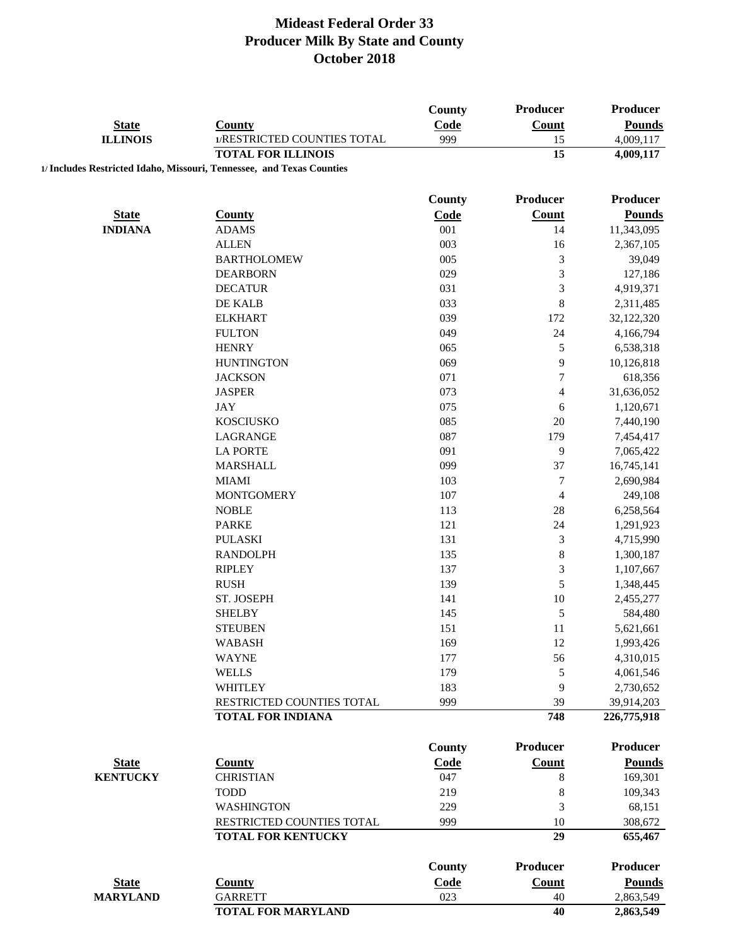|                 |                                                                       | <b>County</b> | Producer        | <b>Producer</b>    |
|-----------------|-----------------------------------------------------------------------|---------------|-----------------|--------------------|
| <b>State</b>    | <b>County</b>                                                         | Code          | <b>Count</b>    | <b>Pounds</b>      |
| <b>ILLINOIS</b> | 1/RESTRICTED COUNTIES TOTAL<br><b>TOTAL FOR ILLINOIS</b>              | 999           | 15<br>15        | 4,009,117          |
|                 | 1/ Includes Restricted Idaho, Missouri, Tennessee, and Texas Counties |               |                 | 4,009,117          |
|                 |                                                                       |               |                 |                    |
|                 |                                                                       | <b>County</b> | Producer        | <b>Producer</b>    |
| <b>State</b>    | <b>County</b>                                                         | Code          | Count           | <b>Pounds</b>      |
| <b>INDIANA</b>  | <b>ADAMS</b>                                                          | 001           | 14              | 11,343,095         |
|                 | <b>ALLEN</b>                                                          | 003           | 16              | 2,367,105          |
|                 | <b>BARTHOLOMEW</b>                                                    | 005           | $\mathfrak{Z}$  | 39,049             |
|                 | <b>DEARBORN</b>                                                       | 029           | $\mathfrak{Z}$  | 127,186            |
|                 | <b>DECATUR</b>                                                        | 031           | 3               | 4,919,371          |
|                 | DE KALB                                                               | 033           | $\,8$           | 2,311,485          |
|                 | <b>ELKHART</b>                                                        | 039           | 172             | 32,122,320         |
|                 | <b>FULTON</b>                                                         | 049           | 24              | 4,166,794          |
|                 | <b>HENRY</b>                                                          | 065           | 5               | 6,538,318          |
|                 | <b>HUNTINGTON</b>                                                     | 069           | 9               | 10,126,818         |
|                 | <b>JACKSON</b>                                                        | 071           | $\tau$          | 618,356            |
|                 | <b>JASPER</b>                                                         | 073           | 4               | 31,636,052         |
|                 | <b>JAY</b>                                                            | 075           | 6               | 1,120,671          |
|                 | <b>KOSCIUSKO</b>                                                      | 085           | 20              | 7,440,190          |
|                 | LAGRANGE                                                              | 087           | 179             | 7,454,417          |
|                 | <b>LA PORTE</b>                                                       | 091           | 9               | 7,065,422          |
|                 | <b>MARSHALL</b>                                                       | 099           | 37              | 16,745,141         |
|                 | <b>MIAMI</b>                                                          | 103           | 7               | 2,690,984          |
|                 | <b>MONTGOMERY</b>                                                     | 107           | $\overline{4}$  | 249,108            |
|                 | <b>NOBLE</b>                                                          | 113           | 28              | 6,258,564          |
|                 | <b>PARKE</b>                                                          | 121           | 24              | 1,291,923          |
|                 | <b>PULASKI</b>                                                        | 131           | 3               | 4,715,990          |
|                 | <b>RANDOLPH</b>                                                       | 135           | $\,8\,$         | 1,300,187          |
|                 | <b>RIPLEY</b>                                                         | 137           | 3               | 1,107,667          |
|                 | <b>RUSH</b>                                                           | 139           | 5               | 1,348,445          |
|                 | ST. JOSEPH                                                            | 141           | 10              | 2,455,277          |
|                 | <b>SHELBY</b>                                                         | 145           | 5               | 584,480            |
|                 | <b>STEUBEN</b>                                                        | 151           | 11              | 5,621,661          |
|                 | <b>WABASH</b>                                                         | 169           | 12              | 1,993,426          |
|                 | <b>WAYNE</b>                                                          | 177           | 56              | 4,310,015          |
|                 | <b>WELLS</b>                                                          | 179           | 5               | 4,061,546          |
|                 | <b>WHITLEY</b>                                                        | 183           | 9               | 2,730,652          |
|                 | RESTRICTED COUNTIES TOTAL                                             | 999           | 39              | 39,914,203         |
|                 | <b>TOTAL FOR INDIANA</b>                                              |               | 748             | 226,775,918        |
|                 |                                                                       |               |                 |                    |
|                 |                                                                       | <b>County</b> | <b>Producer</b> | <b>Producer</b>    |
| <b>State</b>    | <b>County</b>                                                         | Code          | <b>Count</b>    | <b>Pounds</b>      |
| <b>KENTUCKY</b> | <b>CHRISTIAN</b>                                                      | 047           | $\,8\,$         | 169,301            |
|                 | <b>TODD</b>                                                           | 219           | $\,8\,$         | 109,343            |
|                 | <b>WASHINGTON</b>                                                     | 229           | 3               | 68,151             |
|                 | RESTRICTED COUNTIES TOTAL<br><b>TOTAL FOR KENTUCKY</b>                | 999           | 10<br>29        | 308,672<br>655,467 |
|                 |                                                                       |               |                 |                    |
|                 |                                                                       | <b>County</b> | <b>Producer</b> | <b>Producer</b>    |
| <b>State</b>    | <b>County</b>                                                         | Code          | <b>Count</b>    | <b>Pounds</b>      |
| <b>MARYLAND</b> | <b>GARRETT</b>                                                        | 023           | 40              | 2,863,549          |
|                 | <b>TOTAL FOR MARYLAND</b>                                             |               | 40              | 2,863,549          |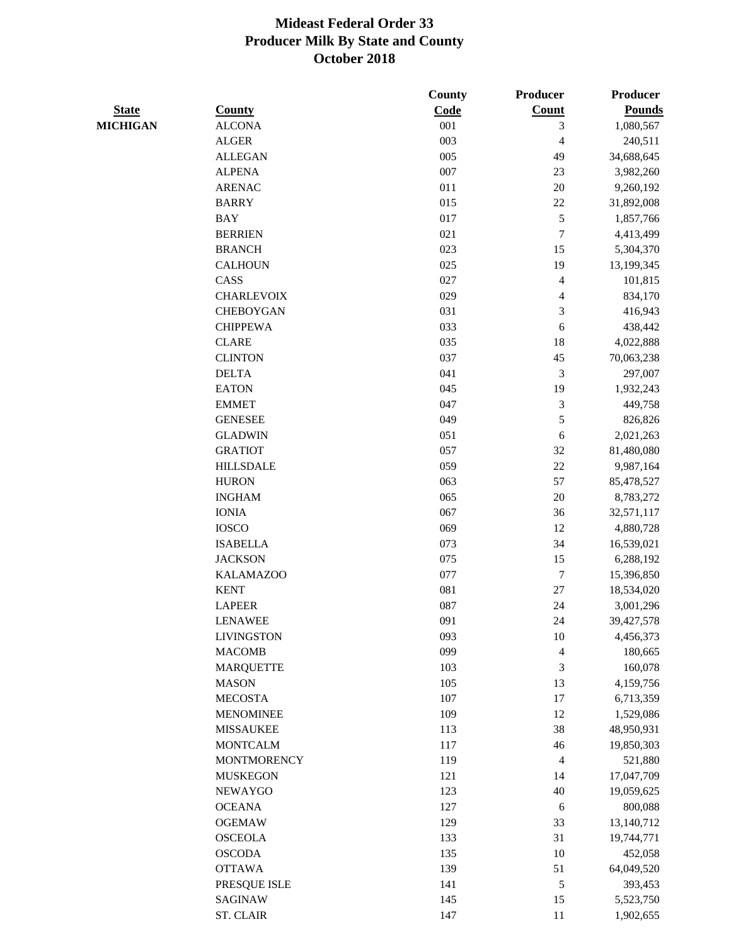|                 |                    | County | Producer                 | Producer      |
|-----------------|--------------------|--------|--------------------------|---------------|
| <b>State</b>    | <b>County</b>      | Code   | Count                    | <b>Pounds</b> |
| <b>MICHIGAN</b> | <b>ALCONA</b>      | 001    | 3                        | 1,080,567     |
|                 | <b>ALGER</b>       | 003    | 4                        | 240,511       |
|                 | <b>ALLEGAN</b>     | 005    | 49                       | 34,688,645    |
|                 | <b>ALPENA</b>      | 007    | 23                       | 3,982,260     |
|                 | <b>ARENAC</b>      | 011    | $20\,$                   | 9,260,192     |
|                 | <b>BARRY</b>       | 015    | $22\,$                   | 31,892,008    |
|                 | <b>BAY</b>         | 017    | 5                        | 1,857,766     |
|                 | <b>BERRIEN</b>     | 021    | 7                        | 4,413,499     |
|                 | <b>BRANCH</b>      | 023    | 15                       | 5,304,370     |
|                 | <b>CALHOUN</b>     | 025    | 19                       | 13,199,345    |
|                 | CASS               | 027    | $\overline{4}$           | 101,815       |
|                 | <b>CHARLEVOIX</b>  | 029    | 4                        | 834,170       |
|                 | <b>CHEBOYGAN</b>   | 031    | 3                        | 416,943       |
|                 | <b>CHIPPEWA</b>    | 033    | 6                        | 438,442       |
|                 | <b>CLARE</b>       | 035    | 18                       | 4,022,888     |
|                 | <b>CLINTON</b>     | 037    | 45                       | 70,063,238    |
|                 | <b>DELTA</b>       | 041    | 3                        | 297,007       |
|                 | <b>EATON</b>       | 045    | 19                       | 1,932,243     |
|                 | <b>EMMET</b>       | 047    | $\mathfrak{Z}$           | 449,758       |
|                 | <b>GENESEE</b>     | 049    | 5                        | 826,826       |
|                 | <b>GLADWIN</b>     | 051    | 6                        | 2,021,263     |
|                 | <b>GRATIOT</b>     | 057    | 32                       | 81,480,080    |
|                 | <b>HILLSDALE</b>   | 059    | $22\,$                   | 9,987,164     |
|                 | <b>HURON</b>       | 063    | 57                       | 85,478,527    |
|                 | <b>INGHAM</b>      | 065    | $20\,$                   | 8,783,272     |
|                 | <b>IONIA</b>       | 067    | 36                       | 32,571,117    |
|                 | <b>IOSCO</b>       | 069    | 12                       | 4,880,728     |
|                 | <b>ISABELLA</b>    | 073    | 34                       | 16,539,021    |
|                 | <b>JACKSON</b>     | 075    | 15                       | 6,288,192     |
|                 | <b>KALAMAZOO</b>   | 077    | $\boldsymbol{7}$         | 15,396,850    |
|                 | <b>KENT</b>        | 081    | $27\,$                   | 18,534,020    |
|                 | <b>LAPEER</b>      | 087    | 24                       | 3,001,296     |
|                 | LENAWEE            | 091    | 24                       | 39,427,578    |
|                 | <b>LIVINGSTON</b>  | 093    | 10                       | 4,456,373     |
|                 | <b>MACOMB</b>      | 099    | $\overline{\mathcal{L}}$ | 180,665       |
|                 | <b>MARQUETTE</b>   | 103    | $\mathfrak{Z}$           | 160,078       |
|                 | <b>MASON</b>       | 105    | 13                       | 4,159,756     |
|                 | <b>MECOSTA</b>     | 107    | 17                       | 6,713,359     |
|                 | <b>MENOMINEE</b>   | 109    | 12                       | 1,529,086     |
|                 | <b>MISSAUKEE</b>   | 113    | 38                       | 48,950,931    |
|                 | <b>MONTCALM</b>    | 117    | $46\,$                   | 19,850,303    |
|                 | <b>MONTMORENCY</b> | 119    | $\overline{4}$           | 521,880       |
|                 | <b>MUSKEGON</b>    | 121    | 14                       | 17,047,709    |
|                 | <b>NEWAYGO</b>     | 123    | 40                       | 19,059,625    |
|                 | <b>OCEANA</b>      | 127    | 6                        | 800,088       |
|                 | <b>OGEMAW</b>      | 129    | 33                       | 13,140,712    |
|                 | <b>OSCEOLA</b>     | 133    | 31                       | 19,744,771    |
|                 | <b>OSCODA</b>      | 135    | 10                       | 452,058       |
|                 | <b>OTTAWA</b>      | 139    | 51                       | 64,049,520    |
|                 | PRESQUE ISLE       | 141    | 5                        | 393,453       |
|                 | <b>SAGINAW</b>     | 145    | 15                       |               |
|                 |                    |        |                          | 5,523,750     |
|                 | <b>ST. CLAIR</b>   | 147    | 11                       | 1,902,655     |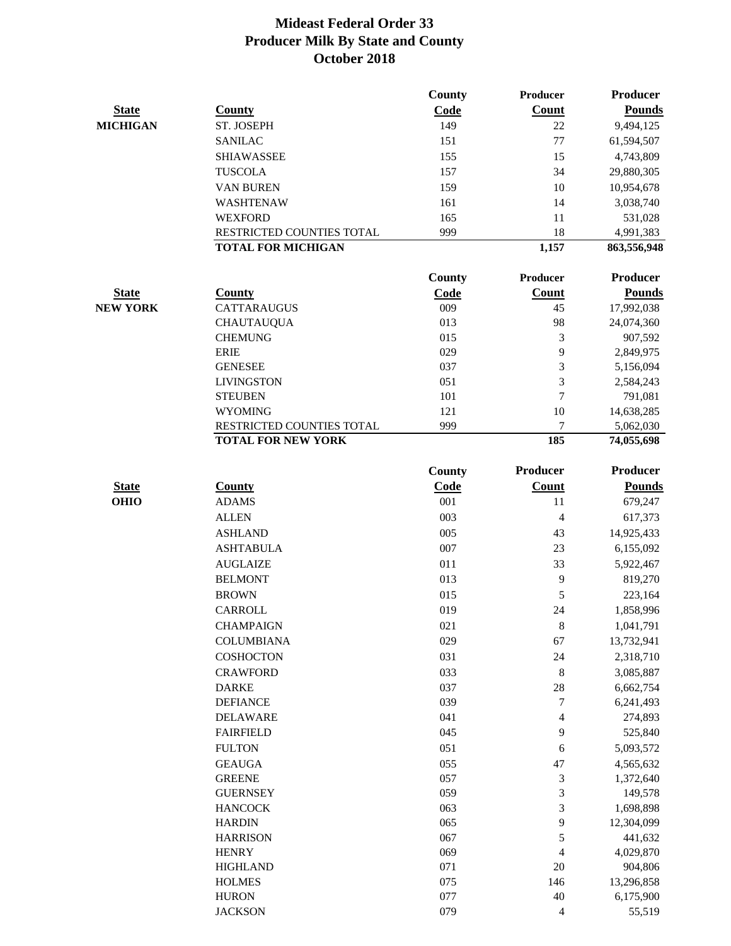|                 |                               | <b>County</b> | Producer                 | Producer        |
|-----------------|-------------------------------|---------------|--------------------------|-----------------|
| <b>State</b>    | <b>County</b>                 | Code          | <b>Count</b>             | <b>Pounds</b>   |
| <b>MICHIGAN</b> | ST. JOSEPH                    | 149           | 22                       | 9,494,125       |
|                 | <b>SANILAC</b>                | 151           | 77                       | 61,594,507      |
|                 | <b>SHIAWASSEE</b>             | 155           | 15                       | 4,743,809       |
|                 | <b>TUSCOLA</b>                | 157           | 34                       | 29,880,305      |
|                 | VAN BUREN                     | 159           | 10                       | 10,954,678      |
|                 | WASHTENAW                     | 161           | 14                       | 3,038,740       |
|                 | <b>WEXFORD</b>                | 165           | 11                       | 531,028         |
|                 | RESTRICTED COUNTIES TOTAL     | 999           | 18                       | 4,991,383       |
|                 | <b>TOTAL FOR MICHIGAN</b>     |               | 1,157                    | 863,556,948     |
|                 |                               | <b>County</b> | Producer                 | <b>Producer</b> |
| <b>State</b>    | <b>County</b>                 | Code          | <b>Count</b>             | <b>Pounds</b>   |
| <b>NEW YORK</b> | <b>CATTARAUGUS</b>            | 009           | 45                       | 17,992,038      |
|                 | <b>CHAUTAUQUA</b>             | 013           | 98                       | 24,074,360      |
|                 | <b>CHEMUNG</b>                | 015           | 3                        | 907,592         |
|                 | <b>ERIE</b>                   | 029           | 9                        | 2,849,975       |
|                 | <b>GENESEE</b>                | 037           | 3                        | 5,156,094       |
|                 | <b>LIVINGSTON</b>             | 051           | 3                        | 2,584,243       |
|                 | <b>STEUBEN</b>                | 101           | $\tau$                   | 791,081         |
|                 | <b>WYOMING</b>                | 121           | 10                       | 14,638,285      |
|                 | RESTRICTED COUNTIES TOTAL     | 999           | 7                        | 5,062,030       |
|                 | <b>TOTAL FOR NEW YORK</b>     |               | 185                      | 74,055,698      |
|                 |                               |               | Producer                 | <b>Producer</b> |
|                 |                               | <b>County</b> |                          |                 |
| <b>State</b>    | <b>County</b><br><b>ADAMS</b> | Code          | <b>Count</b><br>11       | <b>Pounds</b>   |
| <b>OHIO</b>     |                               | 001           |                          | 679,247         |
|                 | <b>ALLEN</b>                  | 003           | $\overline{4}$           | 617,373         |
|                 | <b>ASHLAND</b>                | 005           | 43                       | 14,925,433      |
|                 | <b>ASHTABULA</b>              | 007           | 23                       | 6,155,092       |
|                 | <b>AUGLAIZE</b>               | 011           | 33                       | 5,922,467       |
|                 | <b>BELMONT</b>                | 013           | 9                        | 819,270         |
|                 | <b>BROWN</b>                  | 015           | 5                        | 223,164         |
|                 | <b>CARROLL</b>                | 019           | 24                       | 1,858,996       |
|                 | <b>CHAMPAIGN</b>              | 021           | 8                        | 1,041,791       |
|                 | <b>COLUMBIANA</b>             | 029           | 67                       | 13,732,941      |
|                 | <b>COSHOCTON</b>              | 031           | 24                       | 2,318,710       |
|                 | <b>CRAWFORD</b>               | 033           | $\,$ 8 $\,$              | 3,085,887       |
|                 | <b>DARKE</b>                  | 037           | 28                       | 6,662,754       |
|                 | <b>DEFIANCE</b>               | 039           | 7                        | 6,241,493       |
|                 | <b>DELAWARE</b>               | 041           | $\overline{4}$           | 274,893         |
|                 | <b>FAIRFIELD</b>              | 045           | 9                        | 525,840         |
|                 | <b>FULTON</b>                 | 051           | 6                        | 5,093,572       |
|                 | <b>GEAUGA</b>                 | 055           | 47                       | 4,565,632       |
|                 | <b>GREENE</b>                 | 057           | $\mathfrak{Z}$           | 1,372,640       |
|                 | <b>GUERNSEY</b>               | 059           | 3                        | 149,578         |
|                 | <b>HANCOCK</b>                | 063           | 3                        | 1,698,898       |
|                 | <b>HARDIN</b>                 | 065           | 9                        | 12,304,099      |
|                 | <b>HARRISON</b>               | 067           | 5                        | 441,632         |
|                 | <b>HENRY</b>                  | 069           | $\overline{4}$           | 4,029,870       |
|                 | <b>HIGHLAND</b>               | 071           | 20                       | 904,806         |
|                 | <b>HOLMES</b>                 | 075           | 146                      | 13,296,858      |
|                 | <b>HURON</b>                  | 077           | 40                       | 6,175,900       |
|                 | <b>JACKSON</b>                | 079           | $\overline{\mathcal{A}}$ | 55,519          |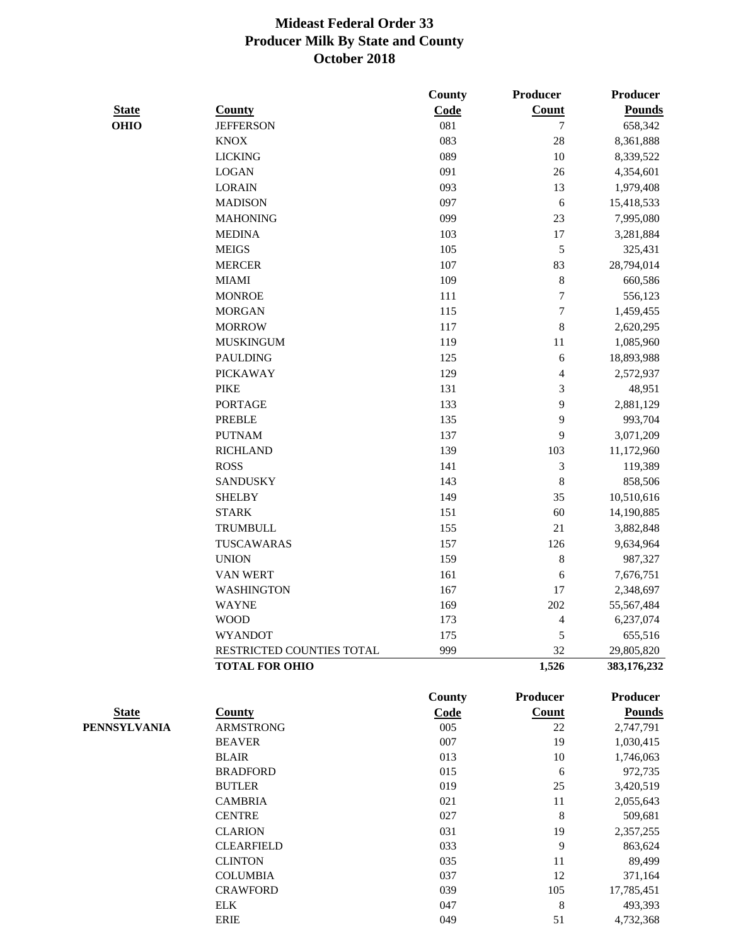|              |                           | County        | <b>Producer</b>  | <b>Producer</b> |
|--------------|---------------------------|---------------|------------------|-----------------|
| <b>State</b> | <b>County</b>             | Code          | Count            | <b>Pounds</b>   |
| <b>OHIO</b>  | <b>JEFFERSON</b>          | 081           | 7                | 658,342         |
|              | <b>KNOX</b>               | 083           | 28               | 8,361,888       |
|              | <b>LICKING</b>            | 089           | 10               | 8,339,522       |
|              | <b>LOGAN</b>              | 091           | 26               | 4,354,601       |
|              | <b>LORAIN</b>             | 093           | 13               | 1,979,408       |
|              | <b>MADISON</b>            | 097           | $\epsilon$       | 15,418,533      |
|              | <b>MAHONING</b>           | 099           | $23\,$           | 7,995,080       |
|              | <b>MEDINA</b>             | 103           | 17               | 3,281,884       |
|              | <b>MEIGS</b>              | 105           | 5                | 325,431         |
|              | <b>MERCER</b>             | 107           | 83               | 28,794,014      |
|              | <b>MIAMI</b>              | 109           | $\,8$            | 660,586         |
|              | <b>MONROE</b>             | 111           | 7                | 556,123         |
|              | <b>MORGAN</b>             | 115           | $\boldsymbol{7}$ | 1,459,455       |
|              | <b>MORROW</b>             | 117           | 8                | 2,620,295       |
|              | <b>MUSKINGUM</b>          | 119           | $11\,$           | 1,085,960       |
|              | <b>PAULDING</b>           | 125           | 6                |                 |
|              |                           |               |                  | 18,893,988      |
|              | <b>PICKAWAY</b>           | 129           | 4                | 2,572,937       |
|              | <b>PIKE</b>               | 131           | 3                | 48,951          |
|              | <b>PORTAGE</b>            | 133           | 9                | 2,881,129       |
|              | <b>PREBLE</b>             | 135           | 9                | 993,704         |
|              | <b>PUTNAM</b>             | 137           | 9                | 3,071,209       |
|              | <b>RICHLAND</b>           | 139           | 103              | 11,172,960      |
|              | <b>ROSS</b>               | 141           | $\mathfrak{Z}$   | 119,389         |
|              | <b>SANDUSKY</b>           | 143           | $\,$ 8 $\,$      | 858,506         |
|              | <b>SHELBY</b>             | 149           | 35               | 10,510,616      |
|              | <b>STARK</b>              | 151           | 60               | 14,190,885      |
|              | <b>TRUMBULL</b>           | 155           | 21               | 3,882,848       |
|              | TUSCAWARAS                | 157           | 126              | 9,634,964       |
|              | <b>UNION</b>              | 159           | 8                | 987,327         |
|              | VAN WERT                  | 161           | 6                | 7,676,751       |
|              | <b>WASHINGTON</b>         | 167           | 17               | 2,348,697       |
|              | <b>WAYNE</b>              | 169           | 202              | 55,567,484      |
|              | <b>WOOD</b>               | 173           | 4                | 6,237,074       |
|              | <b>WYANDOT</b>            | 175           | 5                | 655,516         |
|              | RESTRICTED COUNTIES TOTAL | 999           | 32               | 29,805,820      |
|              | <b>TOTAL FOR OHIO</b>     |               | 1,526            | 383,176,232     |
|              |                           | <b>County</b> | <b>Producer</b>  | <b>Producer</b> |
| <b>State</b> | <b>County</b>             | Code          | <b>Count</b>     | <b>Pounds</b>   |
| PENNSYLVANIA | <b>ARMSTRONG</b>          | 005           | 22               | 2,747,791       |
|              | <b>BEAVER</b>             | 007           | 19               | 1,030,415       |
|              | <b>BLAIR</b>              | 013           | 10               | 1,746,063       |
|              | <b>BRADFORD</b>           | 015           | 6                | 972,735         |
|              | <b>BUTLER</b>             | 019           | 25               | 3,420,519       |
|              | <b>CAMBRIA</b>            | 021           | 11               | 2,055,643       |
|              | <b>CENTRE</b>             | 027           | 8                | 509,681         |
|              | <b>CLARION</b>            | 031           | 19               | 2,357,255       |
|              | <b>CLEARFIELD</b>         | 033           | 9                | 863,624         |
|              | <b>CLINTON</b>            | 035           | 11               | 89,499          |
|              | <b>COLUMBIA</b>           | 037           | 12               | 371,164         |
|              | <b>CRAWFORD</b>           | 039           | 105              | 17,785,451      |

ELK 047 8 493,393 ERIE 049 51 4,732,368